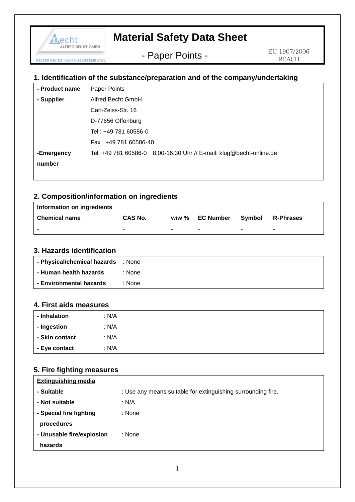

# **Material Safety Data Sheet**

- Paper Points -

EU 1907/2006 REACH

### **1. Identification of the substance/preparation and of the company/undertaking**

| - Product name | Paper Points                                                        |
|----------------|---------------------------------------------------------------------|
| - Supplier     | Alfred Becht GmbH                                                   |
|                | Carl-Zeiss-Str. 16                                                  |
|                | D-77656 Offenburg                                                   |
|                | Tel: +49 781 60586-0                                                |
|                | Fax: +49 781 60586-40                                               |
| -Emergency     | Tel. +49 781 60586-0 8:00-16:30 Uhr // E-mail: klug@becht-online.de |
| number         |                                                                     |
|                |                                                                     |

### **2. Composition/information on ingredients**

| Information on ingredients |                |                          |                 |                |                  |
|----------------------------|----------------|--------------------------|-----------------|----------------|------------------|
| <b>Chemical name</b>       | <b>CAS No.</b> |                          | w/w % EC Number | Svmbol         | <b>R-Phrases</b> |
|                            |                | $\overline{\phantom{0}}$ |                 | $\blacksquare$ | -                |

### **3. Hazards identification**

| - Physical/chemical hazards : None |        |
|------------------------------------|--------|
| - Human health hazards             | : None |
| - Environmental hazards            | : None |

#### **4. First aids measures**

| - Inhalation   | : N/A |  |
|----------------|-------|--|
| - Ingestion    | : N/A |  |
| - Skin contact | : N/A |  |
| - Eye contact  | : N/A |  |

### **5. Fire fighting measures**

| <b>Extinguishing media</b> |                                                              |
|----------------------------|--------------------------------------------------------------|
| - Suitable                 | : Use any means suitable for extinguishing surrounding fire. |
| - Not suitable             | : N/A                                                        |
| - Special fire fighting    | : None                                                       |
| procedures                 |                                                              |
| - Unusable fire/explosion  | : None                                                       |
| hazards                    |                                                              |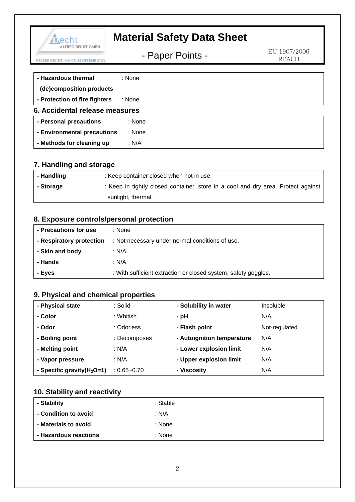| Aecht                                                | <b>Material Safety Data Sheet</b> |                              |
|------------------------------------------------------|-----------------------------------|------------------------------|
| ALFRED BECHT GMBH<br><b>BECHT, MADE IN OFFENBURG</b> | - Paper Points -                  | EU 1907/2006<br><b>REACH</b> |
| - Hazardous thermal                                  | : None                            |                              |
| (de)composition products                             |                                   |                              |
| - Protection of fire fighters                        | : None                            |                              |
| 6. Accidental release measures                       |                                   |                              |
| - Personal precautions                               | : None                            |                              |
| - Environmental precautions                          | : None                            |                              |
| - Methods for cleaning up                            | : N/A                             |                              |

## **7. Handling and storage**

| - Handling | : Keep container closed when not in use.                                          |
|------------|-----------------------------------------------------------------------------------|
| - Storage  | : Keep in tightly closed container, store in a cool and dry area. Protect against |
|            | sunlight, thermal.                                                                |

### **8. Exposure controls/personal protection**

| - Precautions for use    | : None                                                         |
|--------------------------|----------------------------------------------------------------|
| - Respiratory protection | : Not necessary under normal conditions of use.                |
| - Skin and body          | : N/A                                                          |
| - Hands                  | : N/A                                                          |
| l - Eyes                 | : With sufficient extraction or closed system; safety goggles. |

## **9. Physical and chemical properties**

| - Physical state              | : Solid         | - Solubility in water      | : Insoluble     |
|-------------------------------|-----------------|----------------------------|-----------------|
| - Color                       | : Whitish       | - pH                       | : N/A           |
| - Odor                        | : Odorless      | - Flash point              | : Not-regulated |
| - Boiling point               | : Decomposes    | - Autoignition temperature | : N/A           |
| - Melting point               | : N/A           | - Lower explosion limit    | : N/A           |
| - Vapor pressure              | : N/A           | - Upper explosion limit    | : N/A           |
| - Specific gravity $(H_2O=1)$ | $: 0.65 - 0.70$ | - Viscosity                | : N/A           |

## **10. Stability and reactivity**

| - Stability           | : Stable |
|-----------------------|----------|
| - Condition to avoid  | : $N/A$  |
| - Materials to avoid  | : None   |
| - Hazardous reactions | : None   |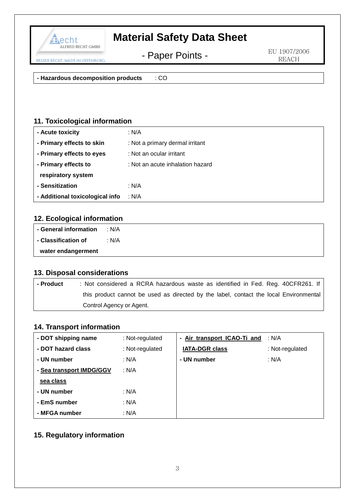

# **Material Safety Data Sheet**

- Paper Points -

EU 1907/2006 REACH

**- Hazardous decomposition products** : CO

### **11. Toxicological information**

| - Acute toxicity                | : N/A                            |
|---------------------------------|----------------------------------|
| - Primary effects to skin       | : Not a primary dermal irritant  |
| - Primary effects to eyes       | : Not an ocular irritant         |
| - Primary effects to            | : Not an acute inhalation hazard |
| respiratory system              |                                  |
| - Sensitization                 | : N/A                            |
| - Additional toxicological info | : N/A                            |

### **12. Ecological information**

| - General information | : N/A |
|-----------------------|-------|
| - Classification of   | : N/A |
| water endangerment    |       |

### **13. Disposal considerations**

| l - Product | : Not considered a RCRA hazardous waste as identified in Fed. Reg. 40CFR261. If       |
|-------------|---------------------------------------------------------------------------------------|
|             | this product cannot be used as directed by the label, contact the local Environmental |
|             | Control Agency or Agent.                                                              |

#### **14. Transport information**

| - DOT shipping name      | : Not-regulated | - Air transport ICAO-Ti and | : N/A           |
|--------------------------|-----------------|-----------------------------|-----------------|
| - DOT hazard class       | : Not-regulated | <b>IATA-DGR class</b>       | : Not-regulated |
| - UN number              | : N/A           | - UN number                 | : N/A           |
| - Sea transport IMDG/GGV | : N/A           |                             |                 |
| sea class                |                 |                             |                 |
| - UN number              | : N/A           |                             |                 |
| - EmS number             | : N/A           |                             |                 |
| - MFGA number            | : N/A           |                             |                 |

### **15. Regulatory information**